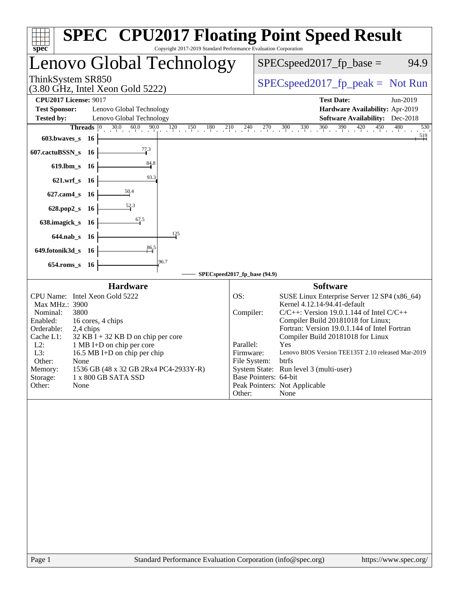| spec                                                                                                                              | <b>SPEC<sup>®</sup> CPU2017 Floating Point Speed Result</b><br>Copyright 2017-2019 Standard Performance Evaluation Corporation |
|-----------------------------------------------------------------------------------------------------------------------------------|--------------------------------------------------------------------------------------------------------------------------------|
| enovo Global Technology                                                                                                           | $SPEC speed2017_fp\_base =$<br>94.9                                                                                            |
| ThinkSystem SR850<br>$(3.80 \text{ GHz}, \text{Intel Xeon Gold } 5222)$                                                           | $SPEC speed2017_fp\_peak = Not Run$                                                                                            |
| <b>CPU2017 License: 9017</b><br><b>Test Sponsor:</b><br>Lenovo Global Technology<br><b>Tested by:</b><br>Lenovo Global Technology | <b>Test Date:</b><br>Jun-2019<br>Hardware Availability: Apr-2019<br><b>Software Availability:</b> Dec-2018                     |
| <b>Threads</b> $ 0 $                                                                                                              | $30.0$ $60.0$ $90.0$ $120$ $150$ $180$ $210$ $240$ $270$ $300$ $330$ $360$ $390$ $420$ $450$ $480$<br>530                      |
| 603.bwaves s 16<br>77.3                                                                                                           | $\frac{519}{2}$                                                                                                                |
| 607.cactuBSSN_s 16<br>$\frac{84.8}{4}$<br>619.lbm_s 16                                                                            |                                                                                                                                |
| 93.3<br>$621.wrf$ <sub>S</sub><br>- 16                                                                                            |                                                                                                                                |
| $\frac{50.4}{4}$<br>$627$ .cam $4$ <sub>S</sub><br>- 16                                                                           |                                                                                                                                |
| 52.3<br>628.pop2_s 16                                                                                                             |                                                                                                                                |
| 67.5<br>638.imagick_s<br>- 16                                                                                                     |                                                                                                                                |
| 125<br>644.nab s 16                                                                                                               |                                                                                                                                |
| 86,5<br>649.fotonik3d_s 16                                                                                                        |                                                                                                                                |
| 96.7<br>654.roms s 16                                                                                                             |                                                                                                                                |
| <b>Hardware</b>                                                                                                                   | SPECspeed2017_fp_base (94.9)<br><b>Software</b>                                                                                |
| CPU Name: Intel Xeon Gold 5222                                                                                                    | SUSE Linux Enterprise Server 12 SP4 (x86_64)<br>OS:                                                                            |
| Max MHz.: 3900<br>Nominal:<br>3800                                                                                                | Kernel 4.12.14-94.41-default<br>Compiler:<br>$C/C++$ : Version 19.0.1.144 of Intel $C/C++$                                     |
| Enabled:<br>16 cores, 4 chips<br>Orderable:<br>2,4 chips                                                                          | Compiler Build 20181018 for Linux;<br>Fortran: Version 19.0.1.144 of Intel Fortran                                             |
| Cache L1:<br>$32$ KB I + 32 KB D on chip per core<br>$L2$ :<br>1 MB I+D on chip per core                                          | Compiler Build 20181018 for Linux<br>Parallel:<br>Yes                                                                          |
| 16.5 MB I+D on chip per chip<br>L3:                                                                                               | Lenovo BIOS Version TEE135T 2.10 released Mar-2019<br>Firmware:                                                                |
| Other:<br>None<br>1536 GB (48 x 32 GB 2Rx4 PC4-2933Y-R)<br>Memory:                                                                | File System: btrfs<br>System State: Run level 3 (multi-user)                                                                   |
| 1 x 800 GB SATA SSD<br>Storage:<br>Other:<br>None                                                                                 | Base Pointers: 64-bit<br>Peak Pointers: Not Applicable                                                                         |
|                                                                                                                                   | Other:<br>None                                                                                                                 |
|                                                                                                                                   |                                                                                                                                |
| Page 1                                                                                                                            | Standard Performance Evaluation Corporation (info@spec.org)<br>https://www.spec.org/                                           |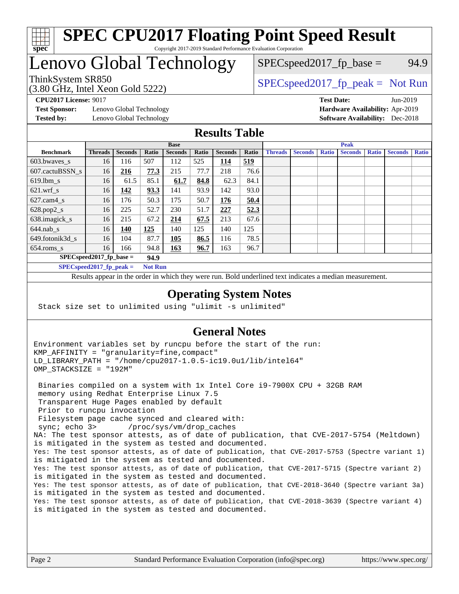

#### **[SPEC CPU2017 Floating Point Speed Result](http://www.spec.org/auto/cpu2017/Docs/result-fields.html#SPECCPU2017FloatingPointSpeedResult)** Copyright 2017-2019 Standard Performance Evaluation Corporation

# Lenovo Global Technology

(3.80 GHz, Intel Xeon Gold 5222)

ThinkSystem SR850<br>  $SPEC speed2017$  [p\_peak = Not Run

 $SPEC speed2017_fp\_base = 94.9$ 

**[Test Sponsor:](http://www.spec.org/auto/cpu2017/Docs/result-fields.html#TestSponsor)** Lenovo Global Technology **[Hardware Availability:](http://www.spec.org/auto/cpu2017/Docs/result-fields.html#HardwareAvailability)** Apr-2019 **[Tested by:](http://www.spec.org/auto/cpu2017/Docs/result-fields.html#Testedby)** Lenovo Global Technology **[Software Availability:](http://www.spec.org/auto/cpu2017/Docs/result-fields.html#SoftwareAvailability)** Dec-2018

**[CPU2017 License:](http://www.spec.org/auto/cpu2017/Docs/result-fields.html#CPU2017License)** 9017 **[Test Date:](http://www.spec.org/auto/cpu2017/Docs/result-fields.html#TestDate)** Jun-2019

### **[Results Table](http://www.spec.org/auto/cpu2017/Docs/result-fields.html#ResultsTable)**

| <b>Base</b>      |                            |                |                | <b>Peak</b>    |       |                |       |                |                |              |                |              |                |              |
|------------------|----------------------------|----------------|----------------|----------------|-------|----------------|-------|----------------|----------------|--------------|----------------|--------------|----------------|--------------|
| <b>Benchmark</b> | <b>Threads</b>             | <b>Seconds</b> | Ratio          | <b>Seconds</b> | Ratio | <b>Seconds</b> | Ratio | <b>Threads</b> | <b>Seconds</b> | <b>Ratio</b> | <b>Seconds</b> | <b>Ratio</b> | <b>Seconds</b> | <b>Ratio</b> |
| 603.bwayes s     | 16                         | 116            | 507            | 112            | 525   | 114            | 519   |                |                |              |                |              |                |              |
| 607.cactuBSSN s  | 16                         | 216            | 77.3           | 215            | 77.7  | 218            | 76.6  |                |                |              |                |              |                |              |
| $619.$ lbm s     | 16                         | 61.5           | 85.1           | 61.7           | 84.8  | 62.3           | 84.1  |                |                |              |                |              |                |              |
| $621.wrf$ s      | 16                         | 142            | 93.3           | 141            | 93.9  | 142            | 93.0  |                |                |              |                |              |                |              |
| $627$ .cam4 s    | 16                         | 176            | 50.3           | 175            | 50.7  | 176            | 50.4  |                |                |              |                |              |                |              |
| $628.pop2_s$     | 16                         | 225            | 52.7           | 230            | 51.7  | 227            | 52.3  |                |                |              |                |              |                |              |
| 638.imagick_s    | 16                         | 215            | 67.2           | 214            | 67.5  | 213            | 67.6  |                |                |              |                |              |                |              |
| $644$ .nab s     | 16                         | <u>140</u>     | 125            | 140            | 125   | 140            | 125   |                |                |              |                |              |                |              |
| 649.fotonik3d s  | 16                         | 104            | 87.7           | 105            | 86.5  | 116            | 78.5  |                |                |              |                |              |                |              |
| $654$ .roms s    | 16                         | 166            | 94.8           | 163            | 96.7  | 163            | 96.7  |                |                |              |                |              |                |              |
|                  | $SPEC speed2017$ fp base = |                | 94.9           |                |       |                |       |                |                |              |                |              |                |              |
|                  | SPECspeed 2017 fp peak $=$ |                | <b>Not Run</b> |                |       |                |       |                |                |              |                |              |                |              |

Results appear in the [order in which they were run.](http://www.spec.org/auto/cpu2017/Docs/result-fields.html#RunOrder) Bold underlined text [indicates a median measurement](http://www.spec.org/auto/cpu2017/Docs/result-fields.html#Median).

#### **[Operating System Notes](http://www.spec.org/auto/cpu2017/Docs/result-fields.html#OperatingSystemNotes)**

Stack size set to unlimited using "ulimit -s unlimited"

### **[General Notes](http://www.spec.org/auto/cpu2017/Docs/result-fields.html#GeneralNotes)**

Environment variables set by runcpu before the start of the run: KMP\_AFFINITY = "granularity=fine,compact" LD\_LIBRARY\_PATH = "/home/cpu2017-1.0.5-ic19.0u1/lib/intel64" OMP\_STACKSIZE = "192M"

 Binaries compiled on a system with 1x Intel Core i9-7900X CPU + 32GB RAM memory using Redhat Enterprise Linux 7.5 Transparent Huge Pages enabled by default Prior to runcpu invocation Filesystem page cache synced and cleared with: sync; echo 3> /proc/sys/vm/drop\_caches NA: The test sponsor attests, as of date of publication, that CVE-2017-5754 (Meltdown) is mitigated in the system as tested and documented. Yes: The test sponsor attests, as of date of publication, that CVE-2017-5753 (Spectre variant 1) is mitigated in the system as tested and documented. Yes: The test sponsor attests, as of date of publication, that CVE-2017-5715 (Spectre variant 2) is mitigated in the system as tested and documented. Yes: The test sponsor attests, as of date of publication, that CVE-2018-3640 (Spectre variant 3a) is mitigated in the system as tested and documented. Yes: The test sponsor attests, as of date of publication, that CVE-2018-3639 (Spectre variant 4) is mitigated in the system as tested and documented.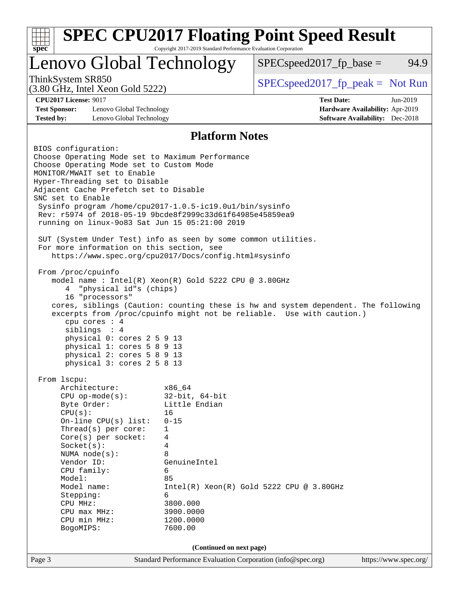| spec <sup>®</sup>                                                                                                                                                                                                                                                                                                                                                                                                                                                                                                                                                                                                                                                                                                                                                                                                                                                                                                                                                                                       | Copyright 2017-2019 Standard Performance Evaluation Corporation   | <b>SPEC CPU2017 Floating Point Speed Result</b>                                                                                                             |                                                                                       |
|---------------------------------------------------------------------------------------------------------------------------------------------------------------------------------------------------------------------------------------------------------------------------------------------------------------------------------------------------------------------------------------------------------------------------------------------------------------------------------------------------------------------------------------------------------------------------------------------------------------------------------------------------------------------------------------------------------------------------------------------------------------------------------------------------------------------------------------------------------------------------------------------------------------------------------------------------------------------------------------------------------|-------------------------------------------------------------------|-------------------------------------------------------------------------------------------------------------------------------------------------------------|---------------------------------------------------------------------------------------|
| Lenovo Global Technology                                                                                                                                                                                                                                                                                                                                                                                                                                                                                                                                                                                                                                                                                                                                                                                                                                                                                                                                                                                |                                                                   | $SPEC speed2017fr base =$                                                                                                                                   | 94.9                                                                                  |
| ThinkSystem SR850<br>$(3.80 \text{ GHz}, \text{Intel Xeon Gold } 5222)$                                                                                                                                                                                                                                                                                                                                                                                                                                                                                                                                                                                                                                                                                                                                                                                                                                                                                                                                 |                                                                   | $SPEC speed2017rfp peak = Not Run$                                                                                                                          |                                                                                       |
| <b>CPU2017 License: 9017</b><br><b>Test Sponsor:</b><br>Lenovo Global Technology<br><b>Tested by:</b><br>Lenovo Global Technology                                                                                                                                                                                                                                                                                                                                                                                                                                                                                                                                                                                                                                                                                                                                                                                                                                                                       |                                                                   | <b>Test Date:</b>                                                                                                                                           | Jun-2019<br>Hardware Availability: Apr-2019<br><b>Software Availability:</b> Dec-2018 |
|                                                                                                                                                                                                                                                                                                                                                                                                                                                                                                                                                                                                                                                                                                                                                                                                                                                                                                                                                                                                         | <b>Platform Notes</b>                                             |                                                                                                                                                             |                                                                                       |
| BIOS configuration:<br>Choose Operating Mode set to Maximum Performance<br>Choose Operating Mode set to Custom Mode<br>MONITOR/MWAIT set to Enable<br>Hyper-Threading set to Disable<br>Adjacent Cache Prefetch set to Disable<br>SNC set to Enable<br>Sysinfo program /home/cpu2017-1.0.5-ic19.0ul/bin/sysinfo<br>Rev: r5974 of 2018-05-19 9bcde8f2999c33d61f64985e45859ea9<br>running on linux-9083 Sat Jun 15 05:21:00 2019<br>SUT (System Under Test) info as seen by some common utilities.<br>For more information on this section, see<br>https://www.spec.org/cpu2017/Docs/config.html#sysinfo<br>From /proc/cpuinfo<br>model name : Intel(R) Xeon(R) Gold 5222 CPU @ 3.80GHz<br>"physical id"s (chips)<br>4<br>16 "processors"<br>cpu cores : 4<br>siblings : 4<br>physical 0: cores 2 5 9 13<br>physical 1: cores 5 8 9 13<br>physical 2: cores 5 8 9 13<br>physical 3: cores 2 5 8 13<br>From 1scpu:<br>Architecture:<br>$CPU$ op-mode(s):<br>Byte Order:<br>CPU(s):<br>On-line CPU(s) list: | x86_64<br>$32$ -bit, $64$ -bit<br>Little Endian<br>16<br>$0 - 15$ | cores, siblings (Caution: counting these is hw and system dependent. The following<br>excerpts from /proc/cpuinfo might not be reliable. Use with caution.) |                                                                                       |
| Thread(s) per core:<br>Core(s) per socket:<br>Socket(s):<br>NUMA $node(s):$<br>Vendor ID:                                                                                                                                                                                                                                                                                                                                                                                                                                                                                                                                                                                                                                                                                                                                                                                                                                                                                                               | 1<br>4<br>4<br>8<br>GenuineIntel                                  |                                                                                                                                                             |                                                                                       |
| CPU family:<br>Model:<br>Model name:<br>Stepping:<br>CPU MHz:<br>CPU max MHz:<br>CPU min MHz:<br>BogoMIPS:                                                                                                                                                                                                                                                                                                                                                                                                                                                                                                                                                                                                                                                                                                                                                                                                                                                                                              | 6<br>85<br>6<br>3800.000<br>3900.0000<br>1200.0000<br>7600.00     | Intel(R) Xeon(R) Gold 5222 CPU @ 3.80GHz                                                                                                                    |                                                                                       |
|                                                                                                                                                                                                                                                                                                                                                                                                                                                                                                                                                                                                                                                                                                                                                                                                                                                                                                                                                                                                         | (Continued on next page)                                          |                                                                                                                                                             |                                                                                       |
| Page 3                                                                                                                                                                                                                                                                                                                                                                                                                                                                                                                                                                                                                                                                                                                                                                                                                                                                                                                                                                                                  | Standard Performance Evaluation Corporation (info@spec.org)       |                                                                                                                                                             | https://www.spec.org/                                                                 |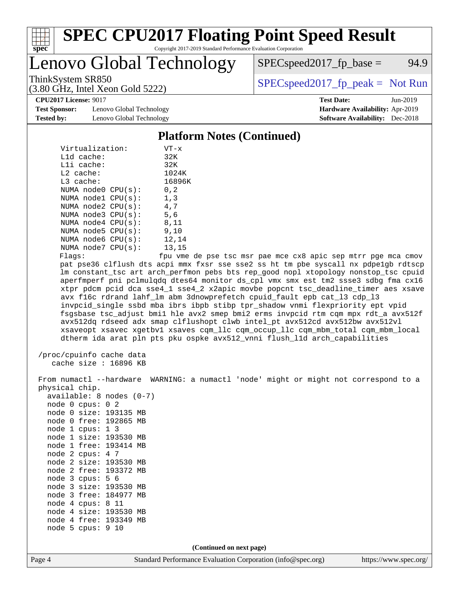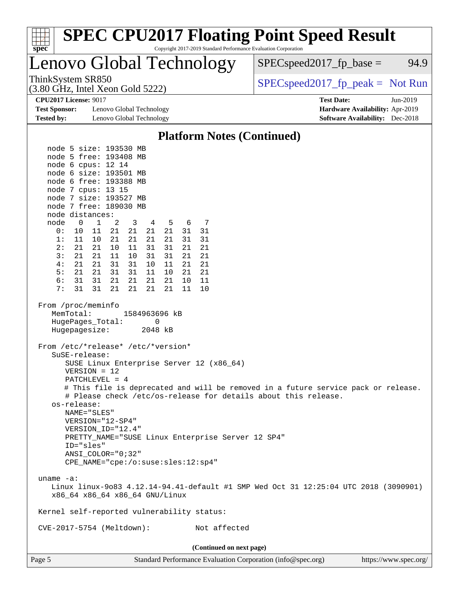| <b>SPEC CPU2017 Floating Point Speed Result</b><br>spec<br>Copyright 2017-2019 Standard Performance Evaluation Corporation                                                                                                                                                                                                                                                                                                                                                                                                                                                                                                                                                                                                                                                                                                                                                                                                                     |                                                                                                            |
|------------------------------------------------------------------------------------------------------------------------------------------------------------------------------------------------------------------------------------------------------------------------------------------------------------------------------------------------------------------------------------------------------------------------------------------------------------------------------------------------------------------------------------------------------------------------------------------------------------------------------------------------------------------------------------------------------------------------------------------------------------------------------------------------------------------------------------------------------------------------------------------------------------------------------------------------|------------------------------------------------------------------------------------------------------------|
| Lenovo Global Technology                                                                                                                                                                                                                                                                                                                                                                                                                                                                                                                                                                                                                                                                                                                                                                                                                                                                                                                       | $SPEC speed2017fp base =$<br>94.9                                                                          |
| ThinkSystem SR850<br>$(3.80 \text{ GHz}, \text{Intel Xeon Gold } 5222)$                                                                                                                                                                                                                                                                                                                                                                                                                                                                                                                                                                                                                                                                                                                                                                                                                                                                        | $SPEC speed2017rfp peak = Not Run$                                                                         |
| <b>CPU2017 License: 9017</b><br><b>Test Sponsor:</b><br>Lenovo Global Technology<br><b>Tested by:</b><br>Lenovo Global Technology                                                                                                                                                                                                                                                                                                                                                                                                                                                                                                                                                                                                                                                                                                                                                                                                              | <b>Test Date:</b><br>Jun-2019<br>Hardware Availability: Apr-2019<br><b>Software Availability:</b> Dec-2018 |
| <b>Platform Notes (Continued)</b>                                                                                                                                                                                                                                                                                                                                                                                                                                                                                                                                                                                                                                                                                                                                                                                                                                                                                                              |                                                                                                            |
| node 5 size: 193530 MB<br>node 5 free: 193408 MB<br>node 6 cpus: 12 14<br>node 6 size: 193501 MB<br>node 6 free: 193388 MB<br>node 7 cpus: 13 15<br>node 7 size: 193527 MB<br>node 7 free: 189030 MB<br>node distances:<br>$\mathbf 1$<br>2<br>5<br>node<br>0<br>3<br>6<br>7<br>4<br>0:<br>21<br>21<br>21<br>10<br>11<br>21<br>31<br>31<br>1:<br>21<br>21<br>21<br>21<br>31<br>31<br>11<br>10<br>2:<br>21<br>21<br>10<br>11<br>31<br>31<br>21<br>21<br>21<br>3:<br>21<br>21<br>11<br>10<br>31<br>31<br>21<br>21<br>21<br>31<br>21<br>21<br>4 :<br>31<br>10<br>11<br>21<br>21<br>31<br>5:<br>31<br>11<br>10<br>21<br>21<br>6:<br>31<br>31<br>21<br>21<br>21<br>21<br>11<br>10<br>31<br>31<br>21<br>7:<br>21<br>21<br>21<br>11<br>10<br>From /proc/meminfo<br>MemTotal:<br>1584963696 kB<br>HugePages_Total:<br>0<br>Hugepagesize:<br>2048 kB<br>From /etc/*release* /etc/*version*<br>SuSE-release:<br>SUSE Linux Enterprise Server 12 (x86_64) |                                                                                                            |
| $VERSION = 12$<br>$PATCHLEVEL = 4$<br># This file is deprecated and will be removed in a future service pack or release.<br># Please check /etc/os-release for details about this release.<br>os-release:<br>NAME="SLES"<br>VERSION="12-SP4"<br>VERSION_ID="12.4"<br>PRETTY_NAME="SUSE Linux Enterprise Server 12 SP4"<br>ID="sles"<br>ANSI COLOR="0;32"<br>CPE_NAME="cpe:/o:suse:sles:12:sp4"                                                                                                                                                                                                                                                                                                                                                                                                                                                                                                                                                 |                                                                                                            |
| uname $-a$ :<br>Linux linux-9083 4.12.14-94.41-default #1 SMP Wed Oct 31 12:25:04 UTC 2018 (3090901)<br>x86_64 x86_64 x86_64 GNU/Linux                                                                                                                                                                                                                                                                                                                                                                                                                                                                                                                                                                                                                                                                                                                                                                                                         |                                                                                                            |
| Kernel self-reported vulnerability status:                                                                                                                                                                                                                                                                                                                                                                                                                                                                                                                                                                                                                                                                                                                                                                                                                                                                                                     |                                                                                                            |
| Not affected<br>CVE-2017-5754 (Meltdown):                                                                                                                                                                                                                                                                                                                                                                                                                                                                                                                                                                                                                                                                                                                                                                                                                                                                                                      |                                                                                                            |
| (Continued on next page)<br>Page 5<br>Standard Performance Evaluation Corporation (info@spec.org)                                                                                                                                                                                                                                                                                                                                                                                                                                                                                                                                                                                                                                                                                                                                                                                                                                              | https://www.spec.org/                                                                                      |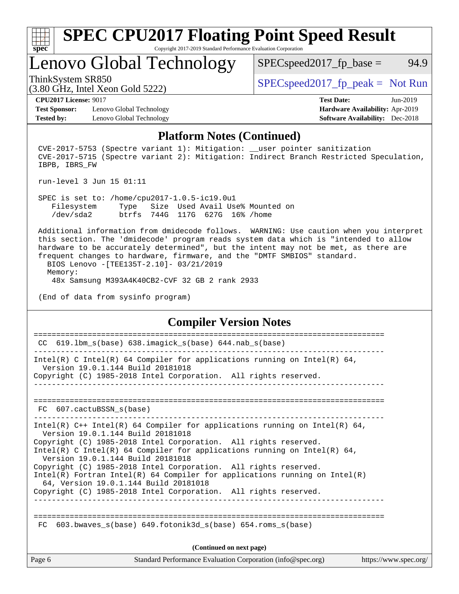

# **[SPEC CPU2017 Floating Point Speed Result](http://www.spec.org/auto/cpu2017/Docs/result-fields.html#SPECCPU2017FloatingPointSpeedResult)**

Copyright 2017-2019 Standard Performance Evaluation Corporation

Lenovo Global Technology

ThinkSystem SR850<br>  $SPEC speed2017$  [p\_peak = Not Run

 $SPEC speed2017_fp\_base = 94.9$ 

(3.80 GHz, Intel Xeon Gold 5222)

**[CPU2017 License:](http://www.spec.org/auto/cpu2017/Docs/result-fields.html#CPU2017License)** 9017 **[Test Date:](http://www.spec.org/auto/cpu2017/Docs/result-fields.html#TestDate)** Jun-2019

**[Test Sponsor:](http://www.spec.org/auto/cpu2017/Docs/result-fields.html#TestSponsor)** Lenovo Global Technology **[Hardware Availability:](http://www.spec.org/auto/cpu2017/Docs/result-fields.html#HardwareAvailability)** Apr-2019 **[Tested by:](http://www.spec.org/auto/cpu2017/Docs/result-fields.html#Testedby)** Lenovo Global Technology **[Software Availability:](http://www.spec.org/auto/cpu2017/Docs/result-fields.html#SoftwareAvailability)** Dec-2018

#### **[Platform Notes \(Continued\)](http://www.spec.org/auto/cpu2017/Docs/result-fields.html#PlatformNotes)**

CVE-2017-5753 (Spectre variant 1): Mitigation: user pointer sanitization CVE-2017-5715 (Spectre variant 2): Mitigation: Indirect Branch Restricted Speculation, IBPB, IBRS\_FW

run-level 3 Jun 15 01:11

 SPEC is set to: /home/cpu2017-1.0.5-ic19.0u1 Filesystem Type Size Used Avail Use% Mounted on /dev/sda2 btrfs 744G 117G 627G 16% /home

 Additional information from dmidecode follows. WARNING: Use caution when you interpret this section. The 'dmidecode' program reads system data which is "intended to allow hardware to be accurately determined", but the intent may not be met, as there are frequent changes to hardware, firmware, and the "DMTF SMBIOS" standard. BIOS Lenovo -[TEE135T-2.10]- 03/21/2019

 Memory: 48x Samsung M393A4K40CB2-CVF 32 GB 2 rank 2933

(End of data from sysinfo program)

#### **[Compiler Version Notes](http://www.spec.org/auto/cpu2017/Docs/result-fields.html#CompilerVersionNotes)**

Page 6 Standard Performance Evaluation Corporation [\(info@spec.org\)](mailto:info@spec.org) <https://www.spec.org/> ============================================================================== CC  $619.1$ bm s(base) 638.imagick s(base) 644.nab s(base) ------------------------------------------------------------------------------ Intel(R) C Intel(R) 64 Compiler for applications running on Intel(R)  $64$ , Version 19.0.1.144 Build 20181018 Copyright (C) 1985-2018 Intel Corporation. All rights reserved. ------------------------------------------------------------------------------ ============================================================================== FC 607.cactuBSSN\_s(base) ------------------------------------------------------------------------------ Intel(R) C++ Intel(R) 64 Compiler for applications running on Intel(R)  $64$ , Version 19.0.1.144 Build 20181018 Copyright (C) 1985-2018 Intel Corporation. All rights reserved. Intel(R) C Intel(R) 64 Compiler for applications running on Intel(R) 64, Version 19.0.1.144 Build 20181018 Copyright (C) 1985-2018 Intel Corporation. All rights reserved. Intel(R) Fortran Intel(R) 64 Compiler for applications running on Intel(R) 64, Version 19.0.1.144 Build 20181018 Copyright (C) 1985-2018 Intel Corporation. All rights reserved. ------------------------------------------------------------------------------ ============================================================================== FC 603.bwaves  $s(base)$  649.fotonik3d  $s(base)$  654.roms  $s(base)$ **(Continued on next page)**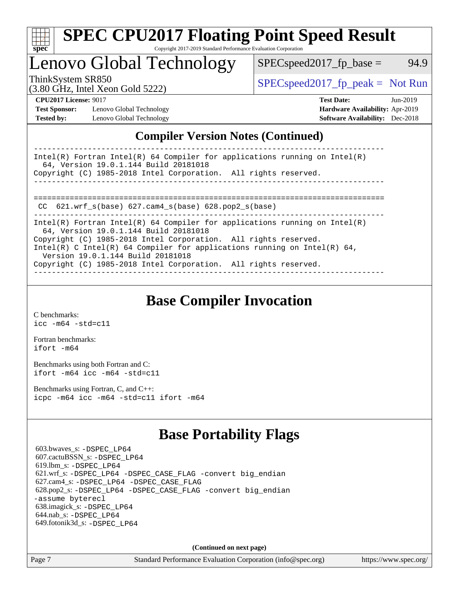

### **[SPEC CPU2017 Floating Point Speed Result](http://www.spec.org/auto/cpu2017/Docs/result-fields.html#SPECCPU2017FloatingPointSpeedResult)** Copyright 2017-2019 Standard Performance Evaluation Corporation

Lenovo Global Technology

ThinkSystem SR850<br>  $(3.80 \text{ GHz, Intel Yoon Gold } 5222)$  [SPECspeed2017\\_fp\\_peak =](http://www.spec.org/auto/cpu2017/Docs/result-fields.html#SPECspeed2017fppeak) Not Run

 $SPEC speed2017_fp\_base = 94.9$ 

(3.80 GHz, Intel Xeon Gold 5222)

**[CPU2017 License:](http://www.spec.org/auto/cpu2017/Docs/result-fields.html#CPU2017License)** 9017 **[Test Date:](http://www.spec.org/auto/cpu2017/Docs/result-fields.html#TestDate)** Jun-2019 **[Test Sponsor:](http://www.spec.org/auto/cpu2017/Docs/result-fields.html#TestSponsor)** Lenovo Global Technology **[Hardware Availability:](http://www.spec.org/auto/cpu2017/Docs/result-fields.html#HardwareAvailability)** Apr-2019 **[Tested by:](http://www.spec.org/auto/cpu2017/Docs/result-fields.html#Testedby)** Lenovo Global Technology **[Software Availability:](http://www.spec.org/auto/cpu2017/Docs/result-fields.html#SoftwareAvailability)** Dec-2018

### **[Compiler Version Notes \(Continued\)](http://www.spec.org/auto/cpu2017/Docs/result-fields.html#CompilerVersionNotes)**

| Intel(R) Fortran Intel(R) 64 Compiler for applications running on Intel(R)<br>64, Version 19.0.1.144 Build 20181018 |
|---------------------------------------------------------------------------------------------------------------------|
| Copyright (C) 1985-2018 Intel Corporation. All rights reserved.                                                     |
|                                                                                                                     |
|                                                                                                                     |
|                                                                                                                     |
| CC $621.wrf$ s(base) $627.cam4$ s(base) $628.pop2$ s(base)                                                          |
| Intel(R) Fortran Intel(R) 64 Compiler for applications running on Intel(R)<br>64, Version 19.0.1.144 Build 20181018 |
| Copyright (C) 1985-2018 Intel Corporation. All rights reserved.                                                     |
| Intel(R) C Intel(R) 64 Compiler for applications running on Intel(R) 64,<br>Version 19.0.1.144 Build 20181018       |
| Copyright (C) 1985-2018 Intel Corporation. All rights reserved.                                                     |
|                                                                                                                     |

**[Base Compiler Invocation](http://www.spec.org/auto/cpu2017/Docs/result-fields.html#BaseCompilerInvocation)**

[C benchmarks](http://www.spec.org/auto/cpu2017/Docs/result-fields.html#Cbenchmarks): [icc -m64 -std=c11](http://www.spec.org/cpu2017/results/res2019q3/cpu2017-20190624-15540.flags.html#user_CCbase_intel_icc_64bit_c11_33ee0cdaae7deeeab2a9725423ba97205ce30f63b9926c2519791662299b76a0318f32ddfffdc46587804de3178b4f9328c46fa7c2b0cd779d7a61945c91cd35)

[Fortran benchmarks](http://www.spec.org/auto/cpu2017/Docs/result-fields.html#Fortranbenchmarks): [ifort -m64](http://www.spec.org/cpu2017/results/res2019q3/cpu2017-20190624-15540.flags.html#user_FCbase_intel_ifort_64bit_24f2bb282fbaeffd6157abe4f878425411749daecae9a33200eee2bee2fe76f3b89351d69a8130dd5949958ce389cf37ff59a95e7a40d588e8d3a57e0c3fd751)

[Benchmarks using both Fortran and C](http://www.spec.org/auto/cpu2017/Docs/result-fields.html#BenchmarksusingbothFortranandC): [ifort -m64](http://www.spec.org/cpu2017/results/res2019q3/cpu2017-20190624-15540.flags.html#user_CC_FCbase_intel_ifort_64bit_24f2bb282fbaeffd6157abe4f878425411749daecae9a33200eee2bee2fe76f3b89351d69a8130dd5949958ce389cf37ff59a95e7a40d588e8d3a57e0c3fd751) [icc -m64 -std=c11](http://www.spec.org/cpu2017/results/res2019q3/cpu2017-20190624-15540.flags.html#user_CC_FCbase_intel_icc_64bit_c11_33ee0cdaae7deeeab2a9725423ba97205ce30f63b9926c2519791662299b76a0318f32ddfffdc46587804de3178b4f9328c46fa7c2b0cd779d7a61945c91cd35)

[Benchmarks using Fortran, C, and C++:](http://www.spec.org/auto/cpu2017/Docs/result-fields.html#BenchmarksusingFortranCandCXX) [icpc -m64](http://www.spec.org/cpu2017/results/res2019q3/cpu2017-20190624-15540.flags.html#user_CC_CXX_FCbase_intel_icpc_64bit_4ecb2543ae3f1412ef961e0650ca070fec7b7afdcd6ed48761b84423119d1bf6bdf5cad15b44d48e7256388bc77273b966e5eb805aefd121eb22e9299b2ec9d9) [icc -m64 -std=c11](http://www.spec.org/cpu2017/results/res2019q3/cpu2017-20190624-15540.flags.html#user_CC_CXX_FCbase_intel_icc_64bit_c11_33ee0cdaae7deeeab2a9725423ba97205ce30f63b9926c2519791662299b76a0318f32ddfffdc46587804de3178b4f9328c46fa7c2b0cd779d7a61945c91cd35) [ifort -m64](http://www.spec.org/cpu2017/results/res2019q3/cpu2017-20190624-15540.flags.html#user_CC_CXX_FCbase_intel_ifort_64bit_24f2bb282fbaeffd6157abe4f878425411749daecae9a33200eee2bee2fe76f3b89351d69a8130dd5949958ce389cf37ff59a95e7a40d588e8d3a57e0c3fd751)

## **[Base Portability Flags](http://www.spec.org/auto/cpu2017/Docs/result-fields.html#BasePortabilityFlags)**

 603.bwaves\_s: [-DSPEC\\_LP64](http://www.spec.org/cpu2017/results/res2019q3/cpu2017-20190624-15540.flags.html#suite_basePORTABILITY603_bwaves_s_DSPEC_LP64) 607.cactuBSSN\_s: [-DSPEC\\_LP64](http://www.spec.org/cpu2017/results/res2019q3/cpu2017-20190624-15540.flags.html#suite_basePORTABILITY607_cactuBSSN_s_DSPEC_LP64) 619.lbm\_s: [-DSPEC\\_LP64](http://www.spec.org/cpu2017/results/res2019q3/cpu2017-20190624-15540.flags.html#suite_basePORTABILITY619_lbm_s_DSPEC_LP64) 621.wrf\_s: [-DSPEC\\_LP64](http://www.spec.org/cpu2017/results/res2019q3/cpu2017-20190624-15540.flags.html#suite_basePORTABILITY621_wrf_s_DSPEC_LP64) [-DSPEC\\_CASE\\_FLAG](http://www.spec.org/cpu2017/results/res2019q3/cpu2017-20190624-15540.flags.html#b621.wrf_s_baseCPORTABILITY_DSPEC_CASE_FLAG) [-convert big\\_endian](http://www.spec.org/cpu2017/results/res2019q3/cpu2017-20190624-15540.flags.html#user_baseFPORTABILITY621_wrf_s_convert_big_endian_c3194028bc08c63ac5d04de18c48ce6d347e4e562e8892b8bdbdc0214820426deb8554edfa529a3fb25a586e65a3d812c835984020483e7e73212c4d31a38223) 627.cam4\_s: [-DSPEC\\_LP64](http://www.spec.org/cpu2017/results/res2019q3/cpu2017-20190624-15540.flags.html#suite_basePORTABILITY627_cam4_s_DSPEC_LP64) [-DSPEC\\_CASE\\_FLAG](http://www.spec.org/cpu2017/results/res2019q3/cpu2017-20190624-15540.flags.html#b627.cam4_s_baseCPORTABILITY_DSPEC_CASE_FLAG) 628.pop2\_s: [-DSPEC\\_LP64](http://www.spec.org/cpu2017/results/res2019q3/cpu2017-20190624-15540.flags.html#suite_basePORTABILITY628_pop2_s_DSPEC_LP64) [-DSPEC\\_CASE\\_FLAG](http://www.spec.org/cpu2017/results/res2019q3/cpu2017-20190624-15540.flags.html#b628.pop2_s_baseCPORTABILITY_DSPEC_CASE_FLAG) [-convert big\\_endian](http://www.spec.org/cpu2017/results/res2019q3/cpu2017-20190624-15540.flags.html#user_baseFPORTABILITY628_pop2_s_convert_big_endian_c3194028bc08c63ac5d04de18c48ce6d347e4e562e8892b8bdbdc0214820426deb8554edfa529a3fb25a586e65a3d812c835984020483e7e73212c4d31a38223) [-assume byterecl](http://www.spec.org/cpu2017/results/res2019q3/cpu2017-20190624-15540.flags.html#user_baseFPORTABILITY628_pop2_s_assume_byterecl_7e47d18b9513cf18525430bbf0f2177aa9bf368bc7a059c09b2c06a34b53bd3447c950d3f8d6c70e3faf3a05c8557d66a5798b567902e8849adc142926523472) 638.imagick\_s: [-DSPEC\\_LP64](http://www.spec.org/cpu2017/results/res2019q3/cpu2017-20190624-15540.flags.html#suite_basePORTABILITY638_imagick_s_DSPEC_LP64) 644.nab\_s: [-DSPEC\\_LP64](http://www.spec.org/cpu2017/results/res2019q3/cpu2017-20190624-15540.flags.html#suite_basePORTABILITY644_nab_s_DSPEC_LP64) 649.fotonik3d\_s: [-DSPEC\\_LP64](http://www.spec.org/cpu2017/results/res2019q3/cpu2017-20190624-15540.flags.html#suite_basePORTABILITY649_fotonik3d_s_DSPEC_LP64)

**(Continued on next page)**

Page 7 Standard Performance Evaluation Corporation [\(info@spec.org\)](mailto:info@spec.org) <https://www.spec.org/>